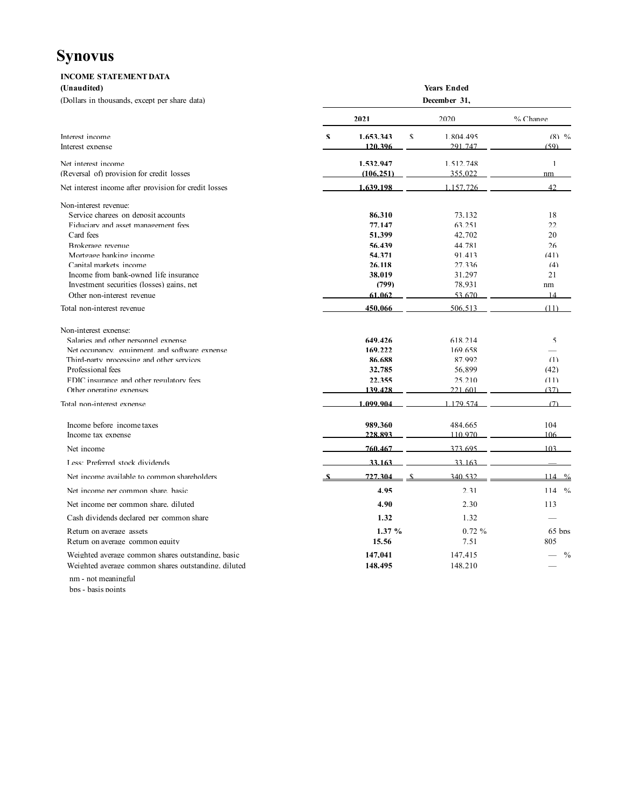# **Synovus**

| <b>INCOME STATEMENT DATA</b>                          |                    |    |              |          |  |  |  |  |
|-------------------------------------------------------|--------------------|----|--------------|----------|--|--|--|--|
| (Unaudited)                                           | <b>Years Ended</b> |    |              |          |  |  |  |  |
| (Dollars in thousands, except per share data)         |                    |    | December 31, |          |  |  |  |  |
|                                                       | 2021               |    | 2020         | % Change |  |  |  |  |
| Interest income                                       | 1.653.343<br>\$    | \$ | 1.804.495    | $(8)$ %  |  |  |  |  |
| Interest expense                                      | 120.396            |    | 291 747      | (59)     |  |  |  |  |
| Net interest income                                   | 1.532.947          |    | 1.512.748    |          |  |  |  |  |
| (Reversal of) provision for credit losses             | (106.251)          |    | 355,022      | nm       |  |  |  |  |
| Net interest income after provision for credit losses | 1.639.198          |    | 1.157.726    | 42       |  |  |  |  |
| Non-interest revenue:                                 |                    |    |              |          |  |  |  |  |
| Service charges on deposit accounts                   | 86.310             |    | 73.132       | 18       |  |  |  |  |
| Fiduciary and asset management fees                   | 77.147             |    | 63.251       | 22.      |  |  |  |  |
| Card fees                                             | 51,399             |    | 42,702       | 20       |  |  |  |  |
| Brokerage revenue                                     | 56.439             |    | 44.781       | 26       |  |  |  |  |
| Mortgage banking income                               | 54.371             |    | 91.413       | (41)     |  |  |  |  |
| Canital markets income                                | 26.118             |    | 27.336       | (4)      |  |  |  |  |
| Income from bank-owned life insurance                 | 38.019             |    | 31.297       | 21       |  |  |  |  |
| Investment securities (losses) gains, net             | (799)              |    | 78.931       | nm       |  |  |  |  |
| Other non-interest revenue                            | 61.062             |    | 53.670       | 14       |  |  |  |  |
| Total non-interest revenue                            | 450,066            |    | 506.513      | (11)     |  |  |  |  |
| Non-interest expense:                                 |                    |    |              |          |  |  |  |  |
| Salaries and other personnel expense                  | 649.426            |    | 618.214      | 5        |  |  |  |  |
| Net occupancy, equipment, and software expense        | 169.222            |    | 169.658      |          |  |  |  |  |
| Third-narty processing and other services             | 86.688             |    | 87.992       | (1)      |  |  |  |  |
| Professional fees                                     | 32,785             |    | 56.899       | (42)     |  |  |  |  |
| FDIC insurance and other regulatory fees              | 22.355             |    | 25.210       | (11)     |  |  |  |  |
| Other operating expenses                              | 139.428            |    | 221.601      | (37)     |  |  |  |  |
| Total non-interest expense                            | 1.099.904          |    | 1.179.574    | (7)      |  |  |  |  |
|                                                       |                    |    |              |          |  |  |  |  |

| Income before income taxes                          | 989.360 | 484.665  | 104       |
|-----------------------------------------------------|---------|----------|-----------|
| Income tax expense                                  | 228.893 | 110.970  | 106       |
| Net income                                          | 760.467 | 373.695  | $103 -$   |
| Less: Preferred stock dividends                     | 33.163  | 33.163   |           |
| Net income available to common shareholders         | 727.304 | 340.532  |           |
| Net income ner common share hasic                   | 4.95    | 2.31     | $114 - %$ |
| Net income ner common share diluted                 | 4.90    | 2.30     | 113       |
| Cash dividends declared ner common share            | 1.32    | 1.32     |           |
| Return on average assets                            | 1.37%   | $0.72\%$ | $65$ hns  |
| Return on average common equity                     | 15.56   | 7.51     | 805       |
| Weighted average common shares outstanding, basic   | 147.041 | 147.415  | $\%$      |
| Weighted average common shares outstanding, diluted | 148.495 | 148.210  |           |

nm - not meaningful

 $\operatorname{\sf bns}$  -  $\operatorname{\sf basis}$  points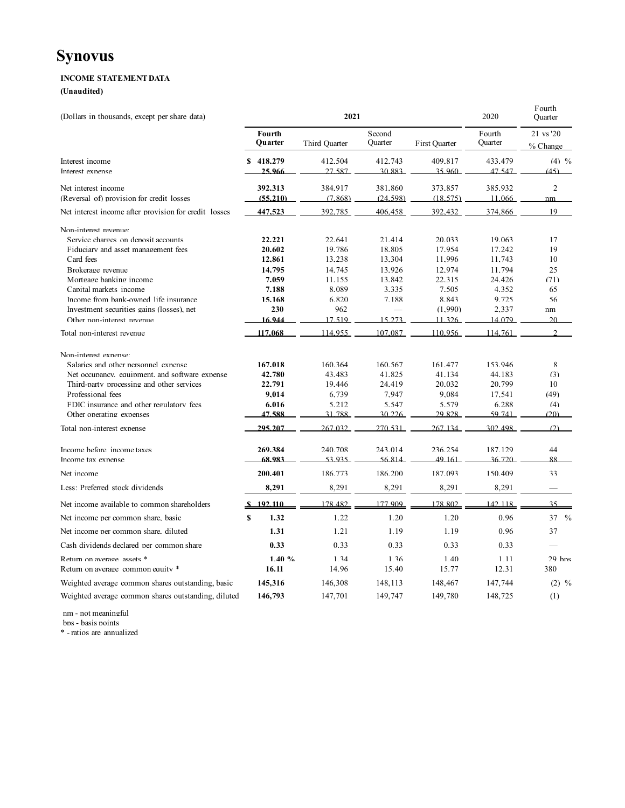## **INCOME STATEMENT DATA**

**(Unaudited)**

| (Dollars in thousands, except per share data)                    |                     | 2021               | 2020                | r ourth<br>Quarter  |                   |                       |
|------------------------------------------------------------------|---------------------|--------------------|---------------------|---------------------|-------------------|-----------------------|
|                                                                  | Fourth<br>Ouarter   | Third Quarter      | Second<br>Quarter   | First Ouarter       | Fourth<br>Quarter | 21 vs '20<br>% Change |
| Interest income<br>Interest exnense                              | \$418.279<br>25.966 | 412.504<br>27.587  | 412.743<br>30.883   | 409.817<br>35.960   | 433.479<br>47 547 | $(4)$ %<br>(45)       |
| Net interest income<br>(Reversal of) provision for credit losses | 392.313<br>(55,210) | 384.917<br>(7.868) | 381.860<br>(24.598) | 373.857<br>(18.575) | 385.932<br>11.066 | $\mathcal{L}$         |
| Net interest income after provision for credit losses            | 447.523             | 392,785            | 406.458             | 392.432             | 374,866           | nm<br>19              |
| Non-interest revenue:                                            |                     |                    |                     |                     |                   |                       |
| Service charges on denosit accounts                              | 22.221              | 22.641             | 21.414              | 20.033              | 19.063            | 17                    |
| Fiduciary and asset management fees                              | 20.602              | 19.786             | 18.805              | 17.954              | 17.242            | 19                    |
| Card fees                                                        | 12,861              | 13.238             | 13,304              | 11.996              | 11.743            | 10                    |
| Brokerage revenue                                                | 14.795              | 14.745             | 13.926              | 12.974              | 11.794            | 25                    |
| Mortgage hanking income                                          | 7.059               | 11.155             | 13.842              | 22.315              | 24.426            | (71)                  |
| Canital markets income                                           | 7.188               | 8.089              | 3.335               | 7.505               | 4.352             | 65                    |
| Income from bank-owned life insurance                            | 15.168              | 6.820              | 7.188               | 8.843               | 9.725             | 56                    |
| Investment securities gains (losses), net                        | 230                 | 962                |                     | (1.990)             | 2.337             | nm                    |
| Other non-interest revenue                                       | 16.944              | 17.519             | 15.273              | 11 326              | 14 079            | 20                    |
| Total non-interest revenue                                       | 117.068             | 114.955            | 107.087             | 110.956             | 114.761           | $\mathcal{D}$         |
| Non-interest expense:                                            |                     |                    |                     |                     |                   |                       |
| Salaries and other nersonnel exnense                             | 167.018             | 160.364            | 160.567             | 161.477             | 153.946           | $\mathbf{R}$          |
| Net occupancy, equipment, and software expense.                  | 42.780              | 43.483             | 41.825              | 41.134              | 44.183            | (3)                   |
| Third-party processing and other services                        | 22.791              | 19.446             | 24.419              | 20.032              | 20.799            | 10                    |
| Professional fees                                                | 9.014               | 6.739              | 7.947               | 9.084               | 17.541            | (49)                  |
| FDIC insurance and other regulatory fees                         | 6.016               | 5.212              | 5.547               | 5.579               | 6.288             | (4)                   |
| Other operating expenses                                         | 47.588              | 31.788             | 30.226              | 29.828              | 59.741            | (20)                  |
| Total non-interest expense                                       | 295.207             | 267.032            | 270.531             | 267 134             | 302.498           | (2)                   |
| Income before income taxes                                       | 269.384             | 240.708            | 243.014             | 236.254             | 187.129           | 44                    |
| Income tax expense                                               | 68.983              | 53.935             | 56.814              | 49 161              | 36.720            | 88                    |
| Net income                                                       | 200.401             | 186.773            | 186.200             | 187.093             | 150.409           | 33                    |
| Less: Preferred stock dividends                                  | 8,291               | 8,291              | 8,291               | 8,291               | 8,291             |                       |
| Net income available to common shareholders                      | \$192.110           | 178.482            | 177.909             | 178.802             | 142.118           | 35                    |
| Net income per common share, basic                               | \$<br>1.32          | 1.22               | 1.20                | 1.20                | 0.96              | $\frac{0}{0}$<br>37   |
| Net income ner common share, diluted                             | 1.31                | 1.21               | 1.19                | 1.19                | 0.96              | 37                    |
| Cash dividends declared ner common share                         | 0.33                | 0.33               | 0.33                | 0.33                | 0.33              |                       |
| Return on average assets *                                       | 1.40%               | 1.34               | 1.36                | 1.40                | 1.11              | $29$ bps              |
| Return on average common equity *                                | 16.11               | 14.96              | 15.40               | 15.77               | 12.31             | 380                   |
| Weighted average common shares outstanding, basic                | 145,316             | 146,308            | 148,113             | 148,467             | 147,744           | $(2)$ %               |
| Weighted average common shares outstanding, diluted              | 146,793             | 147,701            | 149,747             | 149,780             | 148,725           | (1)                   |

Fourth

nm - not meaningful

bps - basis points

\* - ratios are annualized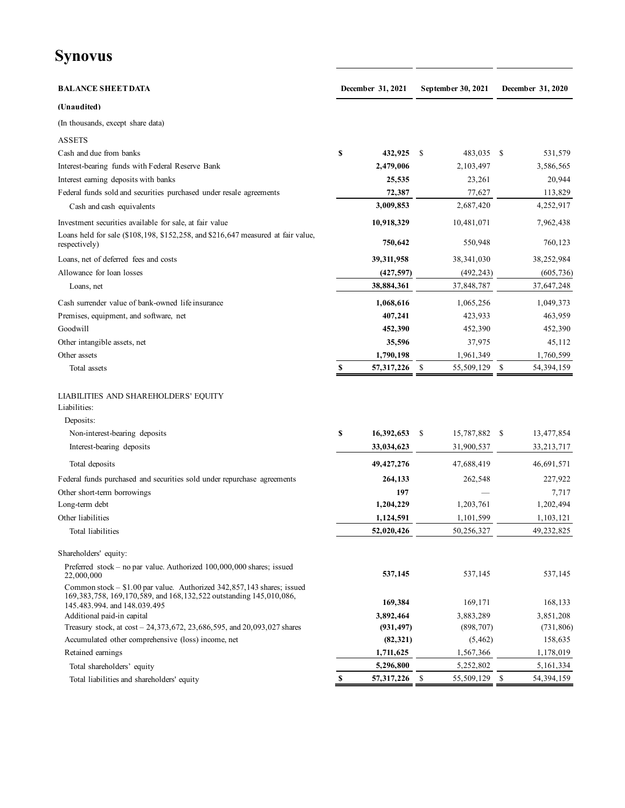# **Synovus**

| <b>BALANCE SHEET DATA</b>                                                                                                                                                                | December 31, 2021 | September 30, 2021         |      | December 31, 2020 |
|------------------------------------------------------------------------------------------------------------------------------------------------------------------------------------------|-------------------|----------------------------|------|-------------------|
| (Unaudited)                                                                                                                                                                              |                   |                            |      |                   |
| (In thousands, except share data)                                                                                                                                                        |                   |                            |      |                   |
| <b>ASSETS</b>                                                                                                                                                                            |                   |                            |      |                   |
| Cash and due from banks                                                                                                                                                                  | \$<br>432,925     | 483,035 \$<br>-S           |      | 531,579           |
| Interest-bearing funds with Federal Reserve Bank                                                                                                                                         | 2,479,006         | 2,103,497                  |      | 3,586,565         |
| Interest earning deposits with banks                                                                                                                                                     | 25,535            | 23,261                     |      | 20,944            |
| Federal funds sold and securities purchased under resale agreements                                                                                                                      | 72,387            | 77,627                     |      | 113,829           |
| Cash and cash equivalents                                                                                                                                                                | 3,009,853         | 2,687,420                  |      | 4,252,917         |
| Investment securities available for sale, at fair value                                                                                                                                  | 10,918,329        | 10,481,071                 |      | 7,962,438         |
| Loans held for sale (\$108,198, \$152,258, and \$216,647 measured at fair value,<br>respectively)                                                                                        | 750,642           | 550,948                    |      | 760,123           |
| Loans, net of deferred fees and costs                                                                                                                                                    | 39,311,958        | 38,341,030                 |      | 38,252,984        |
| Allowance for loan losses                                                                                                                                                                | (427, 597)        | (492, 243)                 |      | (605, 736)        |
| Loans, net                                                                                                                                                                               | 38,884,361        | 37,848,787                 |      | 37,647,248        |
| Cash surrender value of bank-owned life insurance                                                                                                                                        | 1,068,616         | 1,065,256                  |      | 1,049,373         |
| Premises, equipment, and software, net                                                                                                                                                   | 407,241           | 423,933                    |      | 463,959           |
| Goodwill                                                                                                                                                                                 | 452,390           | 452,390                    |      | 452,390           |
| Other intangible assets, net                                                                                                                                                             | 35,596            | 37,975                     |      | 45,112            |
| Other assets                                                                                                                                                                             | 1,790,198         | 1,961,349                  |      | 1,760,599         |
| Total assets                                                                                                                                                                             | \$<br>57,317,226  | -S<br>55,509,129 \$        |      | 54,394,159        |
| LIABILITIES AND SHAREHOLDERS' EQUITY<br>Liabilities:<br>Deposits:                                                                                                                        |                   |                            |      |                   |
|                                                                                                                                                                                          |                   |                            |      |                   |
| Non-interest-bearing deposits                                                                                                                                                            | \$<br>16,392,653  | 15,787,882<br>\$           | - \$ | 13,477,854        |
| Interest-bearing deposits                                                                                                                                                                | 33,034,623        | 31,900,537                 |      | 33,213,717        |
| Total deposits                                                                                                                                                                           | 49, 427, 276      | 47,688,419                 |      | 46,691,571        |
| Federal funds purchased and securities sold under repurchase agreements                                                                                                                  | 264,133           | 262,548                    |      | 227,922           |
| Other short-term borrowings                                                                                                                                                              | 197               |                            |      | 7,717             |
| Long-term debt                                                                                                                                                                           | 1,204,229         | 1,203,761                  |      | 1,202,494         |
| Other liabilities                                                                                                                                                                        | 1,124,591         | 1,101,599                  |      | 1,103,121         |
| Total liabilities                                                                                                                                                                        | 52,020,426        | 50,256,327                 |      | 49,232,825        |
| Shareholders' equity:                                                                                                                                                                    |                   |                            |      |                   |
| Preferred stock – no par value. Authorized 100,000,000 shares; issued<br>22,000,000                                                                                                      | 537,145           | 537,145                    |      | 537,145           |
| Common stock – \$1.00 par value. Authorized 342,857,143 shares; issued<br>169, 383, 758, 169, 170, 589, and 168, 132, 522 outstanding 145, 010, 086,<br>145, 483, 994, and 148, 039, 495 | 169,384           | 169,171                    |      | 168,133           |
| Additional paid-in capital                                                                                                                                                               | 3,892,464         | 3,883,289                  |      | 3,851,208         |
| Treasury stock, at cost – 24,373,672, 23,686,595, and 20,093,027 shares                                                                                                                  | (931, 497)        | (898, 707)                 |      | (731, 806)        |
| Accumulated other comprehensive (loss) income, net                                                                                                                                       | (82, 321)         | (5, 462)                   |      | 158,635           |
| Retained earnings                                                                                                                                                                        | 1,711,625         | 1,567,366                  |      | 1,178,019         |
| Total shareholders' equity                                                                                                                                                               | 5,296,800         | 5,252,802                  |      | 5, 161, 334       |
| Total liabilities and shareholders' equity                                                                                                                                               | \$<br>57,317,226  | $\mathbb{S}$<br>55,509,129 | \$   | 54, 394, 159      |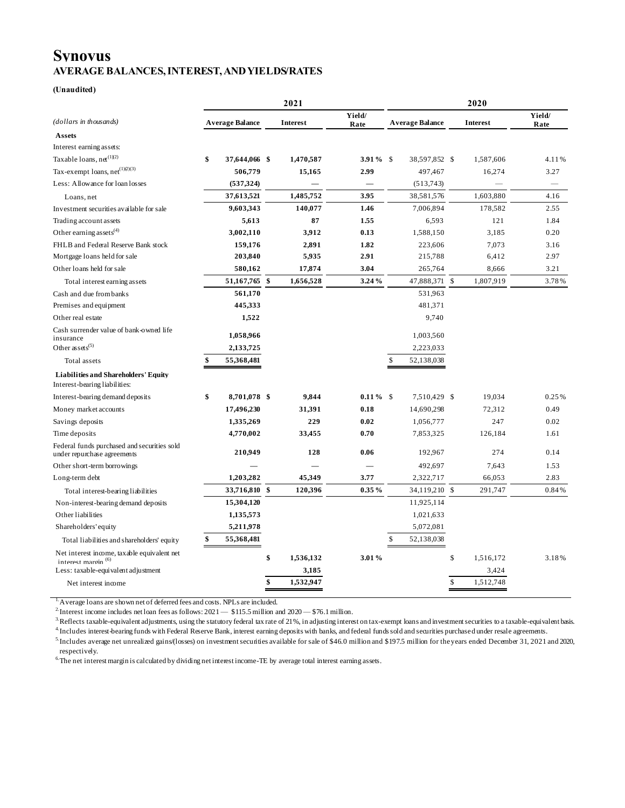## **Synovus AVERAGE BALANCES, INTEREST, AND YIELDS/RATES**

#### **(Unaudited)**

|                                                                                |                        | 2021 |                 | 2020           |    |                        |              |                 |                          |
|--------------------------------------------------------------------------------|------------------------|------|-----------------|----------------|----|------------------------|--------------|-----------------|--------------------------|
| (dollars in thousands)                                                         | <b>Average Balance</b> |      | <b>Interest</b> | Yield/<br>Rate |    | <b>Average Balance</b> |              | <b>Interest</b> | Yield/<br>Rate           |
| <b>Assets</b>                                                                  |                        |      |                 |                |    |                        |              |                 |                          |
| Interest earning assets:                                                       |                        |      |                 |                |    |                        |              |                 |                          |
| Taxable loans, $net^{(1)(2)}$                                                  | \$<br>37,644,066 \$    |      | 1,470,587       | $3.91\%$ \$    |    | 38,597,852 \$          |              | 1,587,606       | 4.11%                    |
| Tax-exempt loans, $net^{(1)Q)(3)}$                                             | 506,779                |      | 15,165          | 2.99           |    | 497,467                |              | 16,274          | 3.27                     |
| Less: Allowance for loan losses                                                | (537, 324)             |      |                 |                |    | (513, 743)             |              |                 | $\overline{\phantom{0}}$ |
| Loans, net                                                                     | 37,613,521             |      | 1,485,752       | 3.95           |    | 38,581,576             |              | 1,603,880       | 4.16                     |
| Investment securities available for sale                                       | 9,603,343              |      | 140,077         | 1.46           |    | 7,006,894              |              | 178,582         | 2.55                     |
| Trading account as sets                                                        | 5,613                  |      | 87              | 1.55           |    | 6,593                  |              | 121             | 1.84                     |
| Other earning assets <sup>(4)</sup>                                            | 3,002,110              |      | 3,912           | 0.13           |    | 1,588,150              |              | 3,185           | 0.20                     |
| FHLB and Federal Reserve Bank stock                                            | 159,176                |      | 2,891           | 1.82           |    | 223,606                |              | 7,073           | 3.16                     |
| Mortgage loans held for sale                                                   | 203,840                |      | 5,935           | 2.91           |    | 215,788                |              | 6,412           | 2.97                     |
| Other loans held for sale                                                      | 580,162                |      | 17,874          | 3.04           |    | 265,764                |              | 8,666           | 3.21                     |
| Total interest earning assets                                                  | 51,167,765 \$          |      | 1,656,528       | 3.24%          |    | 47,888,371 \$          |              | 1,807,919       | 3.78%                    |
| Cash and due from banks                                                        | 561,170                |      |                 |                |    | 531,963                |              |                 |                          |
| Premises and equipment                                                         | 445,333                |      |                 |                |    | 481,371                |              |                 |                          |
| Other real estate                                                              | 1,522                  |      |                 |                |    | 9,740                  |              |                 |                          |
| Cash surrender value of bank-owned life<br>insurance                           | 1,058,966              |      |                 |                |    | 1,003,560              |              |                 |                          |
| Other assets <sup><math>(5)</math></sup>                                       | 2,133,725              |      |                 |                |    | 2,223,033              |              |                 |                          |
| Total assets                                                                   | \$<br>55,368,481       |      |                 |                | \$ | 52,138,038             |              |                 |                          |
| <b>Liabilities and Shareholders' Equity</b><br>Interest-bearing liabilities:   |                        |      |                 |                |    |                        |              |                 |                          |
| Interest-bearing demand deposits                                               | \$<br>8,701,078 \$     |      | 9,844           | $0.11\%$ \$    |    | 7,510,429 \$           |              | 19.034          | 0.25%                    |
| Money market accounts                                                          | 17,496,230             |      | 31,391          | 0.18           |    | 14,690,298             |              | 72,312          | 0.49                     |
| Savings deposits                                                               | 1,335,269              |      | 229             | 0.02           |    | 1,056,777              |              | 247             | 0.02                     |
| Time deposits                                                                  | 4,770,002              |      | 33,455          | 0.70           |    | 7,853,325              |              | 126,184         | 1.61                     |
| Federal funds purchased and securities sold<br>under repurchase agreements     | 210,949                |      | 128             | 0.06           |    | 192,967                |              | 274             | 0.14                     |
| Other short-term borrowings                                                    |                        |      |                 |                |    | 492,697                |              | 7,643           | 1.53                     |
| Long-term debt                                                                 | 1,203,282              |      | 45,349          | 3.77           |    | 2,322,717              |              | 66,053          | 2.83                     |
| Total interest-bearing liabilities                                             | 33,716,810 \$          |      | 120,396         | 0.35%          |    | 34,119,210 \$          |              | 291,747         | 0.84%                    |
| Non-interest-bearing demand deposits                                           | 15,304,120             |      |                 |                |    | 11,925,114             |              |                 |                          |
| Other liabilities                                                              | 1,135,573              |      |                 |                |    | 1,021,633              |              |                 |                          |
| Shareholders' equity                                                           | 5,211,978              |      |                 |                |    | 5,072,081              |              |                 |                          |
| Total liabilities and shareholders' equity                                     | \$<br>55,368,481       |      |                 |                | \$ | 52,138,038             |              |                 |                          |
| Net interest income, tax able equivalent net<br>interest maroin <sup>(6)</sup> |                        | \$   | 1,536,132       | 3.01%          |    |                        | $\mathbb{S}$ | 1.516.172       | 3.18%                    |
| Less: taxable-equivalent adjustment                                            |                        |      | 3,185           |                |    |                        |              | 3,424           |                          |
| Net interest income                                                            |                        | \$   | 1,532,947       |                |    |                        | \$           | 1,512,748       |                          |

1.Average loans are shown net of deferred fees and costs. NPLs are included.

<sup>2</sup>. Interest income includes net loan fees as follows:  $2021 - $115.5$  million and  $2020 - $76.1$  million.

<sup>3.</sup>Reflects taxable-equivalent adjustments, using the statutory federal tax rate of 21%, in adjusting interest on tax-exempt loans and investment securities to a taxable-equivalent basis. 4.Includes interest-bearing funds with Federal Reserve Bank, interest earning deposits with banks, and federal funds sold and securities purchased under resale agreements.

5.Includes average net unrealized gains/(losses) on investment securities available for sale of \$46.0 million and \$197.5 million for the years ended December 31, 2021 and 2020, respectively.

<sup>6.</sup>The net interest margin is calculated by dividing net interest income-TE by average total interest earning assets.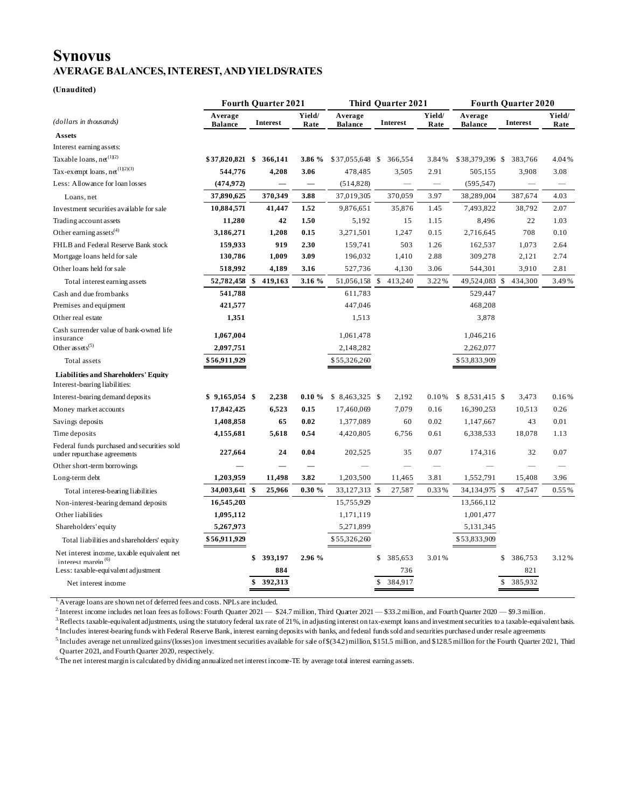## **Synovus AVERAGE BALANCES, INTEREST, AND YIELDS/RATES**

#### **(Unaudited)**

|                                                                               |                           | <b>Fourth Quarter 2021</b> |                 |                |                           | <b>Third Ouarter 2021</b> |          |                          |                           | <b>Fourth Quarter 2020</b> |                |  |  |
|-------------------------------------------------------------------------------|---------------------------|----------------------------|-----------------|----------------|---------------------------|---------------------------|----------|--------------------------|---------------------------|----------------------------|----------------|--|--|
| (dollars in thousands)                                                        | Average<br><b>Balance</b> |                            | <b>Interest</b> | Yield/<br>Rate | Average<br><b>Balance</b> |                           | Interest | Yield/<br>Rate           | Average<br><b>Balance</b> | <b>Interest</b>            | Yield/<br>Rate |  |  |
| Assets                                                                        |                           |                            |                 |                |                           |                           |          |                          |                           |                            |                |  |  |
| Interest earning assets:                                                      |                           |                            |                 |                |                           |                           |          |                          |                           |                            |                |  |  |
| Taxable loans, $net^{(1)(2)}$                                                 | \$37,820,821 \$           |                            | 366,141         | 3.86 %         | \$37,055,648              | - \$                      | 366,554  | 3.84%                    | \$38,379,396 \$           | 383,766                    | 4.04%          |  |  |
| Tax-exempt loans, $ne^{(1)(2)(3)}$                                            | 544,776                   |                            | 4,208           | 3.06           | 478,485                   |                           | 3,505    | 2.91                     | 505,155                   | 3,908                      | 3.08           |  |  |
| Less: Allowance for loan losses                                               | (474, 972)                |                            |                 |                | (514, 828)                |                           |          | $\overline{\phantom{m}}$ | (595, 547)                |                            |                |  |  |
| Loans, net                                                                    | 37,890,625                |                            | 370,349         | 3.88           | 37,019,305                |                           | 370,059  | 3.97                     | 38,289,004                | 387,674                    | 4.03           |  |  |
| Investment securities available for sale                                      | 10,884,571                |                            | 41,447          | 1.52           | 9,876,651                 |                           | 35,876   | 1.45                     | 7,493,822                 | 38,792                     | 2.07           |  |  |
| Trading account assets                                                        | 11,280                    |                            | 42              | 1.50           | 5,192                     |                           | 15       | 1.15                     | 8,496                     | 22                         | 1.03           |  |  |
| Other earning assets $^{(4)}$                                                 | 3,186,271                 |                            | 1,208           | 0.15           | 3,271,501                 |                           | 1,247    | 0.15                     | 2,716,645                 | 708                        | 0.10           |  |  |
| FHLB and Federal Reserve Bank stock                                           | 159,933                   |                            | 919             | 2.30           | 159,741                   |                           | 503      | 1.26                     | 162,537                   | 1,073                      | 2.64           |  |  |
| Mortgage loans held for sale                                                  | 130,786                   |                            | 1,009           | 3.09           | 196,032                   |                           | 1,410    | 2.88                     | 309,278                   | 2,121                      | 2.74           |  |  |
| Other loans held for sale                                                     | 518,992                   |                            | 4,189           | 3.16           | 527,736                   |                           | 4,130    | 3.06                     | 544,301                   | 3,910                      | 2.81           |  |  |
| Total interest earning assets                                                 | 52,782,458                | \$                         | 419,163         | 3.16 %         | 51,056,158                | <sup>\$</sup>             | 413,240  | 3.22%                    | 49,524,083 \$             | 434,300                    | 3.49%          |  |  |
| Cash and due from banks                                                       | 541,788                   |                            |                 |                | 611,783                   |                           |          |                          | 529,447                   |                            |                |  |  |
| Premises and equipment                                                        | 421,577                   |                            |                 |                | 447,046                   |                           |          |                          | 468,208                   |                            |                |  |  |
| Other real estate                                                             | 1,351                     |                            |                 |                | 1,513                     |                           |          |                          | 3,878                     |                            |                |  |  |
| Cash surrender value of bank-owned life<br>insurance                          | 1,067,004                 |                            |                 |                | 1,061,478                 |                           |          |                          | 1,046,216                 |                            |                |  |  |
| Other assets <sup><math>(5)</math></sup>                                      | 2,097,751                 |                            |                 |                | 2,148,282                 |                           |          |                          | 2,262,077                 |                            |                |  |  |
| Total assets                                                                  | \$56,911,929              |                            |                 |                | \$55,326,260              |                           |          |                          | \$53,833,909              |                            |                |  |  |
| <b>Liabilities and Shareholders' Equity</b><br>Interest-bearing liabilities:  |                           |                            |                 |                |                           |                           |          |                          |                           |                            |                |  |  |
| Interest-bearing demand deposits                                              | $$9,165,054$ \$           |                            | 2,238           | $0.10 \%$      | $$8,463,325$ \$           |                           | 2,192    | 0.10%                    | $$8,531,415$ \$           | 3,473                      | 0.16%          |  |  |
| Money market accounts                                                         | 17,842,425                |                            | 6,523           | 0.15           | 17,460,069                |                           | 7,079    | 0.16                     | 16,390,253                | 10,513                     | 0.26           |  |  |
| Savings deposits                                                              | 1,408,858                 |                            | 65              | 0.02           | 1,377,089                 |                           | 60       | 0.02                     | 1,147,667                 | 43                         | 0.01           |  |  |
| Time deposits                                                                 | 4,155,681                 |                            | 5,618           | 0.54           | 4,420,805                 |                           | 6,756    | 0.61                     | 6,338,533                 | 18,078                     | 1.13           |  |  |
| Federal funds purchased and securities sold<br>under repurchase agreements    | 227,664                   |                            | 24              | 0.04           | 202,525                   |                           | 35       | 0.07                     | 174,316                   | 32                         | 0.07           |  |  |
| Other short-term borrowings                                                   |                           |                            |                 |                |                           |                           |          |                          |                           |                            |                |  |  |
| Long-term debt                                                                | 1,203,959                 |                            | 11,498          | 3.82           | 1,203,500                 |                           | 11,465   | 3.81                     | 1,552,791                 | 15,408                     | 3.96           |  |  |
| Total interest-bearing liabilities                                            | 34,003,641                | $\mathbf{s}$               | 25,966          | $0.30 \%$      | 33,127,313 \$             |                           | 27,587   | 0.33%                    | 34,134,975 \$             | 47,547                     | 0.55%          |  |  |
| Non-interest-bearing demand deposits                                          | 16,545,203                |                            |                 |                | 15,755,929                |                           |          |                          | 13,566,112                |                            |                |  |  |
| Other liabilities                                                             | 1,095,112                 |                            |                 |                | 1,171,119                 |                           |          |                          | 1,001,477                 |                            |                |  |  |
| Shareholders' equity                                                          | 5,267,973                 |                            |                 |                | 5,271,899                 |                           |          |                          | 5,131,345                 |                            |                |  |  |
| Total liabilities and shareholders' equity                                    | \$56,911,929              |                            |                 |                | \$55,326,260              |                           |          |                          | \$53,833,909              |                            |                |  |  |
| Net interest income, taxable equivalent net<br>interest maroin <sup>(6)</sup> |                           | \$                         | 393,197         | 2.96 %         |                           | \$                        | 385,653  | 3.01%                    |                           | 386,753<br>S               | 3.12%          |  |  |
| Less: taxable-equivalent adjustment                                           |                           |                            | 884             |                |                           |                           | 736      |                          |                           | 821                        |                |  |  |
| Net interest income                                                           |                           | \$                         | 392,313         |                |                           | \$                        | 384,917  |                          |                           | 385,932<br>\$              |                |  |  |

1.Average loans are shown net of deferred fees and costs. NPLs are included.

 $2$ -Interest income includes net loan fees as follows: Fourth Quarter 2021 — \$24.7 million, Third Quarter 2021 — \$33.2 million, and Fourth Quarter 2020 — \$9.3 million.

<sup>3.</sup>Reflects taxable-equivalent adjustments, using the statutory federal tax rate of 21%, in adjusting interest on tax-exempt loans and investment securities to a taxable-equivalent basis. 4.Includes interest-bearing funds with Federal Reserve Bank, interest earning deposits with banks, and federal funds sold and securities purchased under resale agreements

<sup>5</sup>. Includes average net unrealized gains/(losses) on investment securities available for sale of \$(34.2) million, \$151.5 million, and \$128.5 million for the Fourth Quarter 2021, Third Quarter 2021, and Fourth Quarter 2020, respectively.

 $6$ The net interest margin is calculated by dividing annualized net interest income-TE by average total interest earning assets.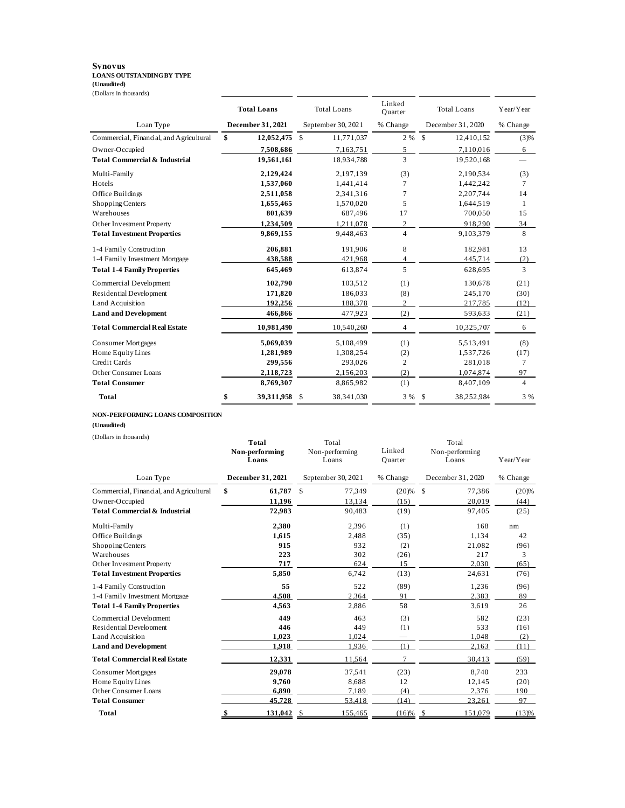### **Synovus LOANS OUTSTANDING BY TYPE (Unaudited)** (Dollars in thousands)

|                                          | <b>Total Loans</b> |                          | <b>Total Loans</b> |                    | Linked<br>Ouarter | <b>Total Loans</b> |                   | Year/Year      |
|------------------------------------------|--------------------|--------------------------|--------------------|--------------------|-------------------|--------------------|-------------------|----------------|
| Loan Type                                |                    | <b>December 31, 2021</b> |                    | September 30, 2021 | % Change          |                    | December 31, 2020 | % Change       |
| Commercial, Financial, and Agricultural  | \$                 | 12,052,475               | \$                 | 11,771,037         | 2 %               | $\mathcal{S}$      | 12,410,152        | (3)%           |
| Owner-Occupied                           |                    | 7,508,686                |                    | 7,163,751          | 5                 |                    | 7,110,016         | 6              |
| <b>Total Commercial &amp; Industrial</b> |                    | 19,561,161               |                    | 18.934,788         | 3                 |                    | 19,520,168        |                |
| Multi-Family                             |                    | 2,129,424                |                    | 2,197,139          | (3)               |                    | 2,190,534         | (3)            |
| Hotels                                   |                    | 1,537,060                |                    | 1,441,414          | 7                 |                    | 1,442,242         | 7              |
| Office Buildings                         |                    | 2,511,058                |                    | 2,341,316          | 7                 |                    | 2,207,744         | 14             |
| Shopping Centers                         |                    | 1,655,465                |                    | 1,570,020          | 5                 |                    | 1,644,519         | -1             |
| Warehouses                               |                    | 801,639                  |                    | 687,496            | 17                |                    | 700,050           | 15             |
| Other Investment Property                |                    | 1,234,509                |                    | 1,211,078          | $\overline{c}$    |                    | 918,290           | 34             |
| <b>Total Investment Properties</b>       |                    | 9,869,155                |                    | 9,448,463          | $\overline{4}$    |                    | 9,103,379         | 8              |
| 1-4 Family Construction                  |                    | 206,881                  |                    | 191,906            | 8                 |                    | 182,981           | 13             |
| 1-4 Family Investment Mortgage           |                    | 438,588                  |                    | 421,968            | 4                 |                    | 445,714           | (2)            |
| <b>Total 1-4 Family Properties</b>       |                    | 645,469                  |                    | 613,874            | 5                 |                    | 628,695           | 3              |
| Commercial Development                   |                    | 102,790                  |                    | 103,512            | (1)               |                    | 130,678           | (21)           |
| <b>Residential Development</b>           |                    | 171,820                  |                    | 186,033            | (8)               |                    | 245,170           | (30)           |
| Land Acquisition                         |                    | 192,256                  |                    | 188,378            | $\overline{c}$    |                    | 217,785           | (12)           |
| <b>Land and Development</b>              |                    | 466,866                  |                    | 477,923            | (2)               |                    | 593,633           | (21)           |
| <b>Total Commercial Real Estate</b>      |                    | 10,981,490               |                    | 10,540,260         | $\overline{4}$    |                    | 10,325,707        | 6              |
| <b>Consumer Mortgages</b>                |                    | 5,069,039                |                    | 5,108,499          | (1)               |                    | 5,513,491         | (8)            |
| Home Equity Lines                        |                    | 1,281,989                |                    | 1,308,254          | (2)               |                    | 1,537,726         | (17)           |
| Credit Cards                             |                    | 299.556                  |                    | 293,026            | 2                 |                    | 281,018           | 7              |
| Other Consumer Loans                     |                    | 2,118,723                |                    | 2,156,203          | (2)               |                    | 1,074,874         | 97             |
| <b>Total Consumer</b>                    |                    | 8,769,307                |                    | 8,865,982          | (1)               |                    | 8,407,109         | $\overline{4}$ |
| Total                                    | \$                 | 39,311,958               | \$                 | 38,341,030         | 3 %               | -S                 | 38,252,984        | 3 %            |

#### **NON-PERFORMING LOANS COMPOSITION**

**(Unaudited)**

(Dollars in thousands)

| (Dollars in thousands)                   | Total<br>Non-performing<br>Loans |                         | Linked<br>Ouarter | Total<br>Non-performing<br>Loans | Year/Year |  |
|------------------------------------------|----------------------------------|-------------------------|-------------------|----------------------------------|-----------|--|
| Loan Type                                | <b>December 31, 2021</b>         | September 30, 2021      | % Change          | December 31, 2020                | % Change  |  |
| Commercial, Financial, and Agricultural  | \$<br>61,787                     | $\mathcal{S}$<br>77,349 | $(20)%$ \$        | 77,386                           | (20)%     |  |
| Owner-Occupied                           | 11,196                           | 13,134                  | (15)              | 20.019                           | (44)      |  |
| <b>Total Commercial &amp; Industrial</b> | 72,983                           | 90,483                  | (19)              | 97,405                           | (25)      |  |
| Multi-Family                             | 2,380                            | 2,396                   | (1)               | 168                              | nm        |  |
| Office Buildings                         | 1,615                            | 2,488                   | (35)              | 1,134                            | 42        |  |
| Shopping Centers                         | 915                              | 932                     | (2)               | 21.082                           | (96)      |  |
| Warehouses                               | 223                              | 302                     | (26)              | 217                              | 3         |  |
| Other Investment Property                | 717                              | 624                     | 15                | 2,030                            | (65)      |  |
| <b>Total Investment Properties</b>       | 5,850                            | 6,742                   | (13)              | 24,631                           | (76)      |  |
| 1-4 Family Construction                  | 55                               | 522                     | (89)              | 1,236                            | (96)      |  |
| 1-4 Family Investment Mortgage           | 4.508                            | 2.364                   | 91                | 2.383                            | 89        |  |
| <b>Total 1-4 Family Properties</b>       | 4.563                            | 2.886                   | 58                | 3.619                            | 26        |  |
| Commercial Development                   | 449                              | 463                     | (3)               | 582                              | (23)      |  |
| <b>Residential Development</b>           | 446                              | 449                     | (1)               | 533                              | (16)      |  |
| Land Acquisition                         | 1,023                            | 1,024                   | -                 | 1,048                            | (2)       |  |
| <b>Land and Development</b>              | 1,918                            | 1,936                   | (1)               | 2,163                            | (11)      |  |
| <b>Total Commercial Real Estate</b>      | 12,331                           | 11,564                  | $\overline{7}$    | 30,413                           | (59)      |  |
| <b>Consumer Mortgages</b>                | 29,078                           | 37,541                  | (23)              | 8,740                            | 233       |  |
| Home Equity Lines                        | 9.760                            | 8.688                   | 12                | 12.145                           | (20)      |  |
| Other Consumer Loans                     | 6.890                            | 7.189                   | (4)               | 2.376                            | 190       |  |
| <b>Total Consumer</b>                    | 45.728                           | 53.418                  | (14)              | 23.261                           | 97        |  |
| Total                                    | 131,042<br>S                     | 155,465<br>- \$         | (16)%             | 151,079                          | (13)%     |  |